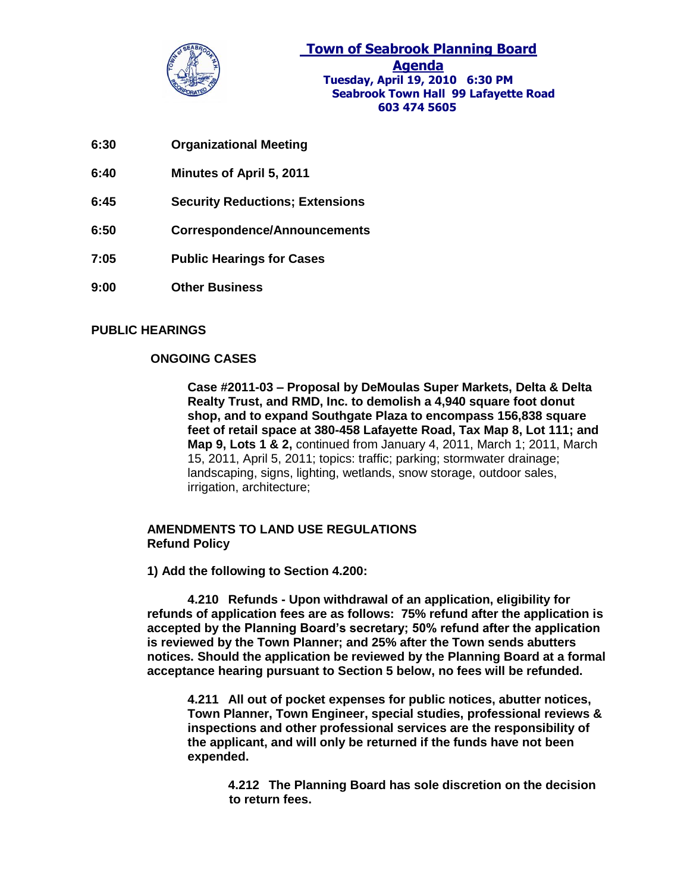

**Town of Seabrook Planning Board Agenda Tuesday, April 19, 2010 6:30 PM Seabrook Town Hall 99 Lafayette Road 603 474 5605**

- **6:30 Organizational Meeting**
- **6:40 Minutes of April 5, 2011**
- **6:45 Security Reductions; Extensions**
- **6:50 Correspondence/Announcements**
- **7:05 Public Hearings for Cases**
- **9:00 Other Business**

## **PUBLIC HEARINGS**

## **ONGOING CASES**

**Case #2011-03 – Proposal by DeMoulas Super Markets, Delta & Delta Realty Trust, and RMD, Inc. to demolish a 4,940 square foot donut shop, and to expand Southgate Plaza to encompass 156,838 square feet of retail space at 380-458 Lafayette Road, Tax Map 8, Lot 111; and Map 9, Lots 1 & 2,** continued from January 4, 2011, March 1; 2011, March 15, 2011, April 5, 2011; topics: traffic; parking; stormwater drainage; landscaping, signs, lighting, wetlands, snow storage, outdoor sales, irrigation, architecture;

## **AMENDMENTS TO LAND USE REGULATIONS Refund Policy**

**1) Add the following to Section 4.200:**

**4.210 Refunds - Upon withdrawal of an application, eligibility for refunds of application fees are as follows: 75% refund after the application is accepted by the Planning Board's secretary; 50% refund after the application is reviewed by the Town Planner; and 25% after the Town sends abutters notices. Should the application be reviewed by the Planning Board at a formal acceptance hearing pursuant to Section 5 below, no fees will be refunded.**

**4.211 All out of pocket expenses for public notices, abutter notices, Town Planner, Town Engineer, special studies, professional reviews & inspections and other professional services are the responsibility of the applicant, and will only be returned if the funds have not been expended.**

> **4.212 The Planning Board has sole discretion on the decision to return fees.**